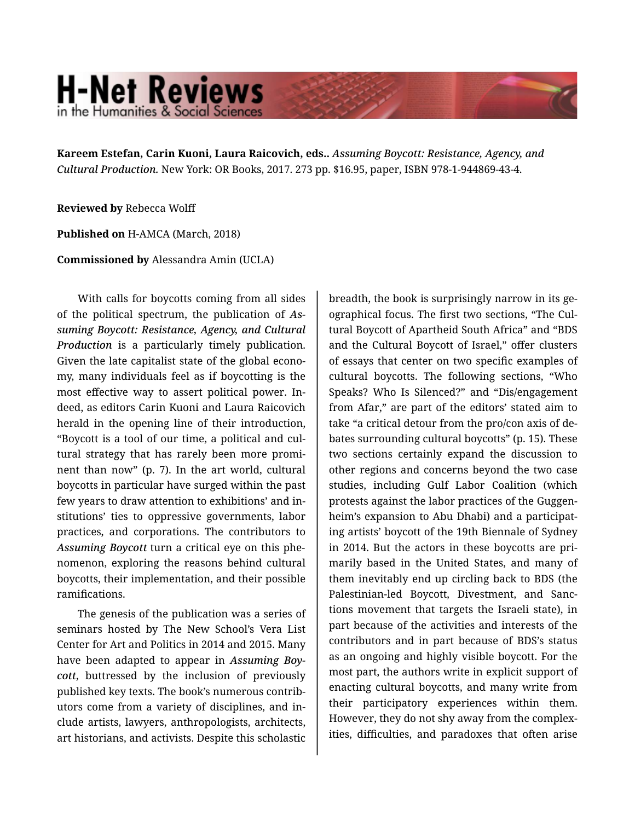## **H-Net Reviews** in the Humanities & Social Scienc

**Kareem Estefan, Carin Kuoni, Laura Raicovich, eds..** *Assuming Boycott: Resistance, Agency, and Cultural Production.* New York: OR Books, 2017. 273 pp. \$16.95, paper, ISBN 978-1-944869-43-4.

**Reviewed by** Rebecca Wolff

**Published on** H-AMCA (March, 2018)

**Commissioned by** Alessandra Amin (UCLA)

With calls for boycotts coming from all sides of the political spectrum, the publication of *As‐ suming Boycott: Resistance, Agency, and Cultural Production* is a particularly timely publication. Given the late capitalist state of the global econo‐ my, many individuals feel as if boycotting is the most effective way to assert political power. In‐ deed, as editors Carin Kuoni and Laura Raicovich herald in the opening line of their introduction, "Boycott is a tool of our time, a political and cul‐ tural strategy that has rarely been more promi‐ nent than now" (p. 7). In the art world, cultural boycotts in particular have surged within the past few years to draw attention to exhibitions' and in‐ stitutions' ties to oppressive governments, labor practices, and corporations. The contributors to *Assuming Boycott* turn a critical eye on this phe‐ nomenon, exploring the reasons behind cultural boycotts, their implementation, and their possible ramifications.

The genesis of the publication was a series of seminars hosted by The New School's Vera List Center for Art and Politics in 2014 and 2015. Many have been adapted to appear in *Assuming Boy‐ cott*, buttressed by the inclusion of previously published key texts. The book's numerous contrib‐ utors come from a variety of disciplines, and in‐ clude artists, lawyers, anthropologists, architects, art historians, and activists. Despite this scholastic

breadth, the book is surprisingly narrow in its ge‐ ographical focus. The first two sections, "The Cul‐ tural Boycott of Apartheid South Africa" and "BDS and the Cultural Boycott of Israel," offer clusters of essays that center on two specific examples of cultural boycotts. The following sections, "Who Speaks? Who Is Silenced?" and "Dis/engagement from Afar," are part of the editors' stated aim to take "a critical detour from the pro/con axis of de‐ bates surrounding cultural boycotts" (p. 15). These two sections certainly expand the discussion to other regions and concerns beyond the two case studies, including Gulf Labor Coalition (which protests against the labor practices of the Guggen‐ heim's expansion to Abu Dhabi) and a participat‐ ing artists' boycott of the 19th Biennale of Sydney in 2014. But the actors in these boycotts are pri‐ marily based in the United States, and many of them inevitably end up circling back to BDS (the Palestinian-led Boycott, Divestment, and Sanc‐ tions movement that targets the Israeli state), in part because of the activities and interests of the contributors and in part because of BDS's status as an ongoing and highly visible boycott. For the most part, the authors write in explicit support of enacting cultural boycotts, and many write from their participatory experiences within them. However, they do not shy away from the complex‐ ities, difficulties, and paradoxes that often arise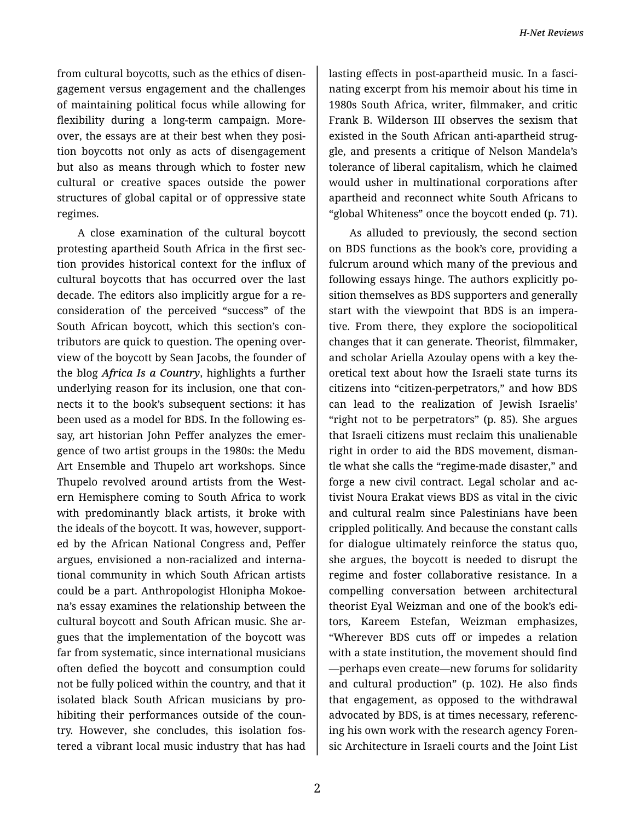from cultural boycotts, such as the ethics of disen‐ gagement versus engagement and the challenges of maintaining political focus while allowing for flexibility during a long-term campaign. Moreover, the essays are at their best when they posi‐ tion boycotts not only as acts of disengagement but also as means through which to foster new cultural or creative spaces outside the power structures of global capital or of oppressive state regimes.

A close examination of the cultural boycott protesting apartheid South Africa in the first sec‐ tion provides historical context for the influx of cultural boycotts that has occurred over the last decade. The editors also implicitly argue for a re‐ consideration of the perceived "success" of the South African boycott, which this section's con‐ tributors are quick to question. The opening over‐ view of the boycott by Sean Jacobs, the founder of the blog *Africa Is a Country*, highlights a further underlying reason for its inclusion, one that con‐ nects it to the book's subsequent sections: it has been used as a model for BDS. In the following es‐ say, art historian John Peffer analyzes the emer‐ gence of two artist groups in the 1980s: the Medu Art Ensemble and Thupelo art workshops. Since Thupelo revolved around artists from the West‐ ern Hemisphere coming to South Africa to work with predominantly black artists, it broke with the ideals of the boycott. It was, however, support‐ ed by the African National Congress and, Peffer argues, envisioned a non-racialized and interna‐ tional community in which South African artists could be a part. Anthropologist Hlonipha Mokoe‐ na's essay examines the relationship between the cultural boycott and South African music. She ar‐ gues that the implementation of the boycott was far from systematic, since international musicians often defied the boycott and consumption could not be fully policed within the country, and that it isolated black South African musicians by pro‐ hibiting their performances outside of the coun‐ try. However, she concludes, this isolation fos‐ tered a vibrant local music industry that has had

lasting effects in post-apartheid music. In a fasci‐ nating excerpt from his memoir about his time in 1980s South Africa, writer, filmmaker, and critic Frank B. Wilderson III observes the sexism that existed in the South African anti-apartheid strug‐ gle, and presents a critique of Nelson Mandela's tolerance of liberal capitalism, which he claimed would usher in multinational corporations after apartheid and reconnect white South Africans to "global Whiteness" once the boycott ended (p. 71).

As alluded to previously, the second section on BDS functions as the book's core, providing a fulcrum around which many of the previous and following essays hinge. The authors explicitly po‐ sition themselves as BDS supporters and generally start with the viewpoint that BDS is an impera‐ tive. From there, they explore the sociopolitical changes that it can generate. Theorist, filmmaker, and scholar Ariella Azoulay opens with a key the‐ oretical text about how the Israeli state turns its citizens into "citizen-perpetrators," and how BDS can lead to the realization of Jewish Israelis' "right not to be perpetrators" (p. 85). She argues that Israeli citizens must reclaim this unalienable right in order to aid the BDS movement, disman‐ tle what she calls the "regime-made disaster," and forge a new civil contract. Legal scholar and ac‐ tivist Noura Erakat views BDS as vital in the civic and cultural realm since Palestinians have been crippled politically. And because the constant calls for dialogue ultimately reinforce the status quo, she argues, the boycott is needed to disrupt the regime and foster collaborative resistance. In a compelling conversation between architectural theorist Eyal Weizman and one of the book's edi‐ tors, Kareem Estefan, Weizman emphasizes, "Wherever BDS cuts off or impedes a relation with a state institution, the movement should find —perhaps even create—new forums for solidarity and cultural production" (p. 102). He also finds that engagement, as opposed to the withdrawal advocated by BDS, is at times necessary, referenc‐ ing his own work with the research agency Foren‐ sic Architecture in Israeli courts and the Joint List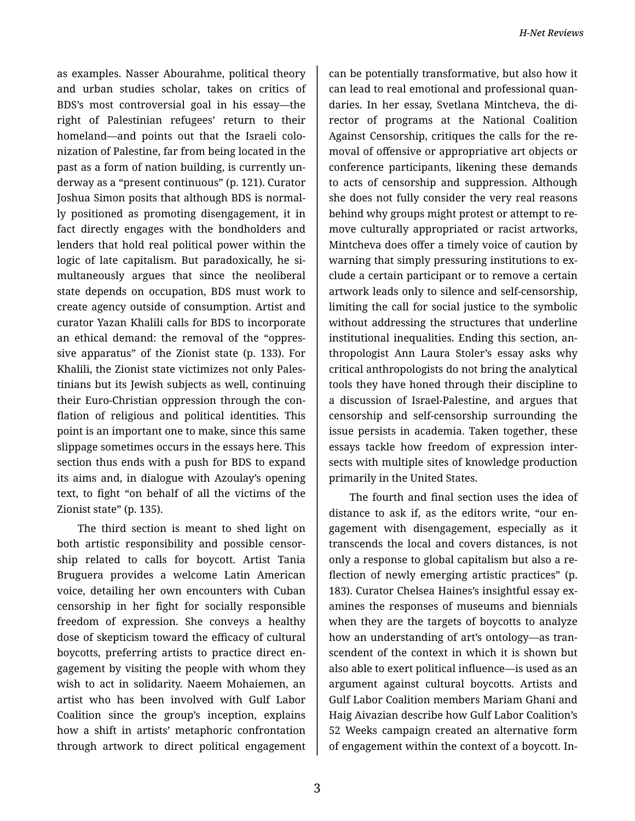as examples. Nasser Abourahme, political theory and urban studies scholar, takes on critics of BDS's most controversial goal in his essay—the right of Palestinian refugees' return to their homeland—and points out that the Israeli colo‐ nization of Palestine, far from being located in the past as a form of nation building, is currently un‐ derway as a "present continuous" (p. 121). Curator Joshua Simon posits that although BDS is normal‐ ly positioned as promoting disengagement, it in fact directly engages with the bondholders and lenders that hold real political power within the logic of late capitalism. But paradoxically, he si‐ multaneously argues that since the neoliberal state depends on occupation, BDS must work to create agency outside of consumption. Artist and curator Yazan Khalili calls for BDS to incorporate an ethical demand: the removal of the "oppres‐ sive apparatus" of the Zionist state (p. 133). For Khalili, the Zionist state victimizes not only Pales‐ tinians but its Jewish subjects as well, continuing their Euro-Christian oppression through the con‐ flation of religious and political identities. This point is an important one to make, since this same slippage sometimes occurs in the essays here. This section thus ends with a push for BDS to expand its aims and, in dialogue with Azoulay's opening text, to fight "on behalf of all the victims of the Zionist state" (p. 135).

The third section is meant to shed light on both artistic responsibility and possible censor‐ ship related to calls for boycott. Artist Tania Bruguera provides a welcome Latin American voice, detailing her own encounters with Cuban censorship in her fight for socially responsible freedom of expression. She conveys a healthy dose of skepticism toward the efficacy of cultural boycotts, preferring artists to practice direct en‐ gagement by visiting the people with whom they wish to act in solidarity. Naeem Mohaiemen, an artist who has been involved with Gulf Labor Coalition since the group's inception, explains how a shift in artists' metaphoric confrontation through artwork to direct political engagement

can be potentially transformative, but also how it can lead to real emotional and professional quan‐ daries. In her essay, Svetlana Mintcheva, the di‐ rector of programs at the National Coalition Against Censorship, critiques the calls for the re‐ moval of offensive or appropriative art objects or conference participants, likening these demands to acts of censorship and suppression. Although she does not fully consider the very real reasons behind why groups might protest or attempt to re‐ move culturally appropriated or racist artworks, Mintcheva does offer a timely voice of caution by warning that simply pressuring institutions to ex‐ clude a certain participant or to remove a certain artwork leads only to silence and self-censorship, limiting the call for social justice to the symbolic without addressing the structures that underline institutional inequalities. Ending this section, an‐ thropologist Ann Laura Stoler's essay asks why critical anthropologists do not bring the analytical tools they have honed through their discipline to a discussion of Israel-Palestine, and argues that censorship and self-censorship surrounding the issue persists in academia. Taken together, these essays tackle how freedom of expression inter‐ sects with multiple sites of knowledge production primarily in the United States.

The fourth and final section uses the idea of distance to ask if, as the editors write, "our en‐ gagement with disengagement, especially as it transcends the local and covers distances, is not only a response to global capitalism but also a re‐ flection of newly emerging artistic practices" (p. 183). Curator Chelsea Haines's insightful essay ex‐ amines the responses of museums and biennials when they are the targets of boycotts to analyze how an understanding of art's ontology—as tran‐ scendent of the context in which it is shown but also able to exert political influence—is used as an argument against cultural boycotts. Artists and Gulf Labor Coalition members Mariam Ghani and Haig Aivazian describe how Gulf Labor Coalition's 52 Weeks campaign created an alternative form of engagement within the context of a boycott. In‐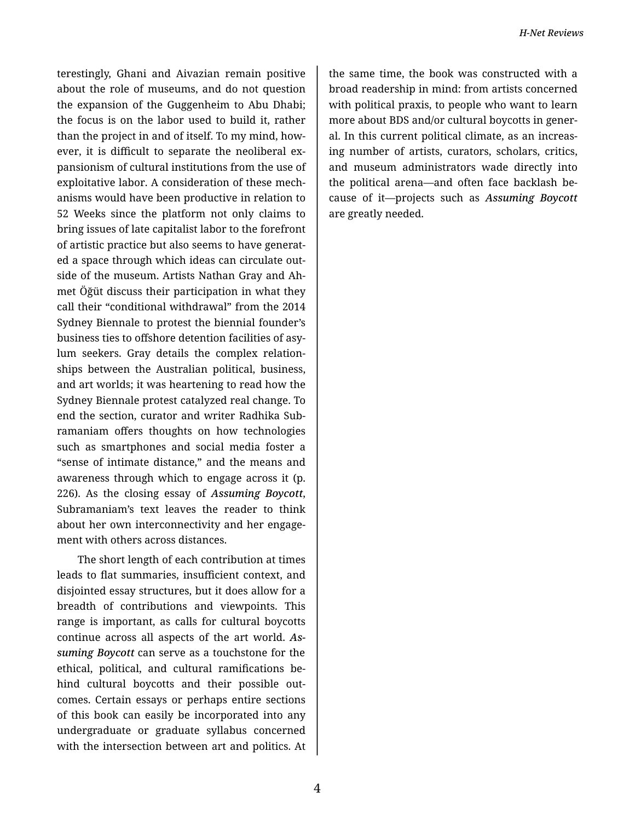terestingly, Ghani and Aivazian remain positive about the role of museums, and do not question the expansion of the Guggenheim to Abu Dhabi; the focus is on the labor used to build it, rather than the project in and of itself. To my mind, how‐ ever, it is difficult to separate the neoliberal ex‐ pansionism of cultural institutions from the use of exploitative labor. A consideration of these mech‐ anisms would have been productive in relation to 52 Weeks since the platform not only claims to bring issues of late capitalist labor to the forefront of artistic practice but also seems to have generat‐ ed a space through which ideas can circulate out‐ side of the museum. Artists Nathan Gray and Ah‐ met Öğüt discuss their participation in what they call their "conditional withdrawal" from the 2014 Sydney Biennale to protest the biennial founder's business ties to offshore detention facilities of asy‐ lum seekers. Gray details the complex relation‐ ships between the Australian political, business, and art worlds; it was heartening to read how the Sydney Biennale protest catalyzed real change. To end the section, curator and writer Radhika Sub‐ ramaniam offers thoughts on how technologies such as smartphones and social media foster a "sense of intimate distance," and the means and awareness through which to engage across it (p. 226). As the closing essay of *Assuming Boycott*, Subramaniam's text leaves the reader to think about her own interconnectivity and her engage‐ ment with others across distances.

The short length of each contribution at times leads to flat summaries, insufficient context, and disjointed essay structures, but it does allow for a breadth of contributions and viewpoints. This range is important, as calls for cultural boycotts continue across all aspects of the art world. *As‐ suming Boycott* can serve as a touchstone for the ethical, political, and cultural ramifications be‐ hind cultural boycotts and their possible out‐ comes. Certain essays or perhaps entire sections of this book can easily be incorporated into any undergraduate or graduate syllabus concerned with the intersection between art and politics. At

the same time, the book was constructed with a broad readership in mind: from artists concerned with political praxis, to people who want to learn more about BDS and/or cultural boycotts in gener‐ al. In this current political climate, as an increas‐ ing number of artists, curators, scholars, critics, and museum administrators wade directly into the political arena—and often face backlash be‐ cause of it—projects such as *Assuming Boycott* are greatly needed.